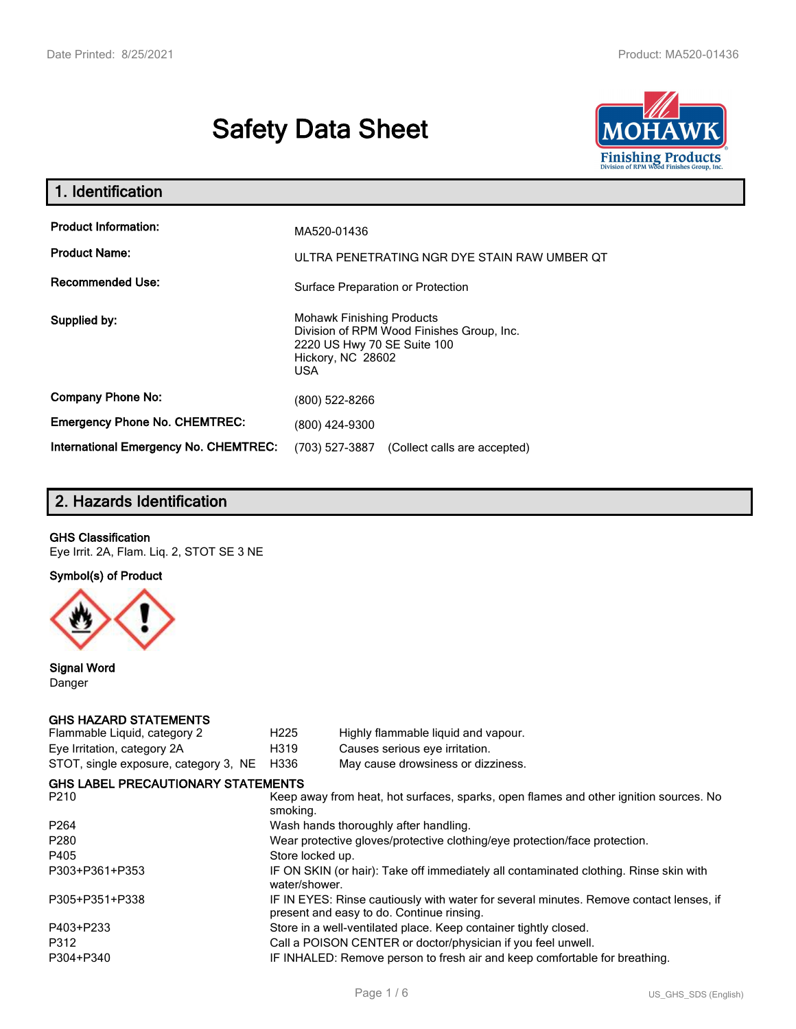# **Safety Data Sheet**



| 1. Identification                                   |                                                                                                                                                 |  |  |  |
|-----------------------------------------------------|-------------------------------------------------------------------------------------------------------------------------------------------------|--|--|--|
| <b>Product Information:</b><br><b>Product Name:</b> | MA520-01436<br>ULTRA PENETRATING NGR DYE STAIN RAW UMBER OT                                                                                     |  |  |  |
| <b>Recommended Use:</b>                             | Surface Preparation or Protection                                                                                                               |  |  |  |
| Supplied by:                                        | <b>Mohawk Finishing Products</b><br>Division of RPM Wood Finishes Group, Inc.<br>2220 US Hwy 70 SE Suite 100<br>Hickory, NC 28602<br><b>USA</b> |  |  |  |
| <b>Company Phone No:</b>                            | (800) 522-8266                                                                                                                                  |  |  |  |
| <b>Emergency Phone No. CHEMTREC:</b>                | (800) 424-9300                                                                                                                                  |  |  |  |
| <b>International Emergency No. CHEMTREC:</b>        | (703) 527-3887<br>(Collect calls are accepted)                                                                                                  |  |  |  |

# **2. Hazards Identification**

## **GHS Classification**

Eye Irrit. 2A, Flam. Liq. 2, STOT SE 3 NE

**Symbol(s) of Product**



**Signal Word** Danger

### **GHS HAZARD STATEMENTS**

| H <sub>225</sub> | Highly flammable liquid and vapour.                                                                                                 |  |  |  |
|------------------|-------------------------------------------------------------------------------------------------------------------------------------|--|--|--|
| H319             | Causes serious eye irritation.                                                                                                      |  |  |  |
| H336             | May cause drowsiness or dizziness.                                                                                                  |  |  |  |
|                  |                                                                                                                                     |  |  |  |
| smoking.         | Keep away from heat, hot surfaces, sparks, open flames and other ignition sources. No                                               |  |  |  |
|                  | Wash hands thoroughly after handling.                                                                                               |  |  |  |
|                  | Wear protective gloves/protective clothing/eye protection/face protection.                                                          |  |  |  |
| Store locked up. |                                                                                                                                     |  |  |  |
| water/shower.    | IF ON SKIN (or hair): Take off immediately all contaminated clothing. Rinse skin with                                               |  |  |  |
|                  | IF IN EYES: Rinse cautiously with water for several minutes. Remove contact lenses, if<br>present and easy to do. Continue rinsing. |  |  |  |
|                  | Store in a well-ventilated place. Keep container tightly closed.                                                                    |  |  |  |
|                  | Call a POISON CENTER or doctor/physician if you feel unwell.                                                                        |  |  |  |
|                  | IF INHALED: Remove person to fresh air and keep comfortable for breathing.                                                          |  |  |  |
|                  | STOT, single exposure, category 3, NE<br><b>GHS LABEL PRECAUTIONARY STATEMENTS</b>                                                  |  |  |  |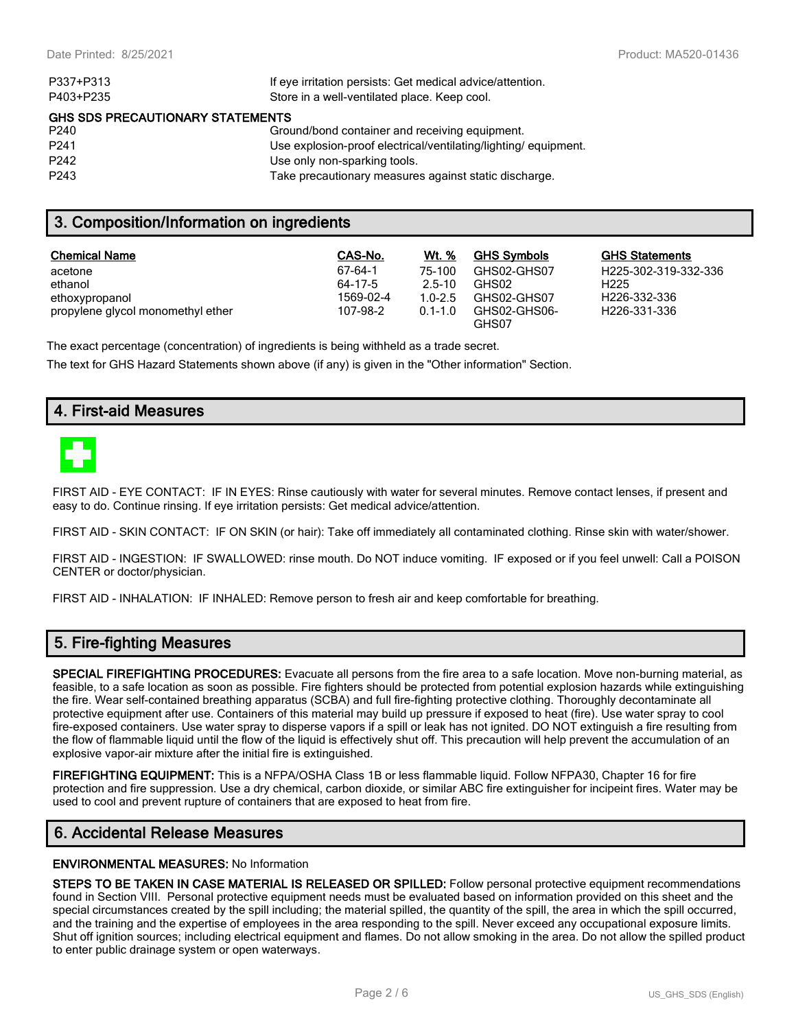| If eye irritation persists: Get medical advice/attention.      |
|----------------------------------------------------------------|
| Store in a well-ventilated place. Keep cool.                   |
| GHS SDS PRECAUTIONARY STATEMENTS                               |
| Ground/bond container and receiving equipment.                 |
| Use explosion-proof electrical/ventilating/lighting/equipment. |
| Use only non-sparking tools.                                   |
| Take precautionary measures against static discharge.          |
|                                                                |

## **3. Composition/Information on ingredients**

| <b>Chemical Name</b>              | CAS-No.   | <b>Wt.</b> % | <b>GHS Symbols</b>    | <b>GHS Statements</b> |
|-----------------------------------|-----------|--------------|-----------------------|-----------------------|
| acetone                           | 67-64-1   | 75-100       | GHS02-GHS07           | H225-302-319-332-336  |
| ethanol                           | 64-17-5   | $2.5 - 10$   | GHS02                 | H <sub>225</sub>      |
| ethoxypropanol                    | 1569-02-4 | $1.0 - 2.5$  | GHS02-GHS07           | H226-332-336          |
| propylene glycol monomethyl ether | 107-98-2  | $0.1 - 1.0$  | GHS02-GHS06-<br>GHS07 | H226-331-336          |

The exact percentage (concentration) of ingredients is being withheld as a trade secret.

The text for GHS Hazard Statements shown above (if any) is given in the "Other information" Section.

## **4. First-aid Measures**



FIRST AID - EYE CONTACT: IF IN EYES: Rinse cautiously with water for several minutes. Remove contact lenses, if present and easy to do. Continue rinsing. If eye irritation persists: Get medical advice/attention.

FIRST AID - SKIN CONTACT: IF ON SKIN (or hair): Take off immediately all contaminated clothing. Rinse skin with water/shower.

FIRST AID - INGESTION: IF SWALLOWED: rinse mouth. Do NOT induce vomiting. IF exposed or if you feel unwell: Call a POISON CENTER or doctor/physician.

FIRST AID - INHALATION: IF INHALED: Remove person to fresh air and keep comfortable for breathing.

## **5. Fire-fighting Measures**

**SPECIAL FIREFIGHTING PROCEDURES:** Evacuate all persons from the fire area to a safe location. Move non-burning material, as feasible, to a safe location as soon as possible. Fire fighters should be protected from potential explosion hazards while extinguishing the fire. Wear self-contained breathing apparatus (SCBA) and full fire-fighting protective clothing. Thoroughly decontaminate all protective equipment after use. Containers of this material may build up pressure if exposed to heat (fire). Use water spray to cool fire-exposed containers. Use water spray to disperse vapors if a spill or leak has not ignited. DO NOT extinguish a fire resulting from the flow of flammable liquid until the flow of the liquid is effectively shut off. This precaution will help prevent the accumulation of an explosive vapor-air mixture after the initial fire is extinguished.

**FIREFIGHTING EQUIPMENT:** This is a NFPA/OSHA Class 1B or less flammable liquid. Follow NFPA30, Chapter 16 for fire protection and fire suppression. Use a dry chemical, carbon dioxide, or similar ABC fire extinguisher for incipeint fires. Water may be used to cool and prevent rupture of containers that are exposed to heat from fire.

## **6. Accidental Release Measures**

#### **ENVIRONMENTAL MEASURES:** No Information

**STEPS TO BE TAKEN IN CASE MATERIAL IS RELEASED OR SPILLED:** Follow personal protective equipment recommendations found in Section VIII. Personal protective equipment needs must be evaluated based on information provided on this sheet and the special circumstances created by the spill including; the material spilled, the quantity of the spill, the area in which the spill occurred, and the training and the expertise of employees in the area responding to the spill. Never exceed any occupational exposure limits. Shut off ignition sources; including electrical equipment and flames. Do not allow smoking in the area. Do not allow the spilled product to enter public drainage system or open waterways.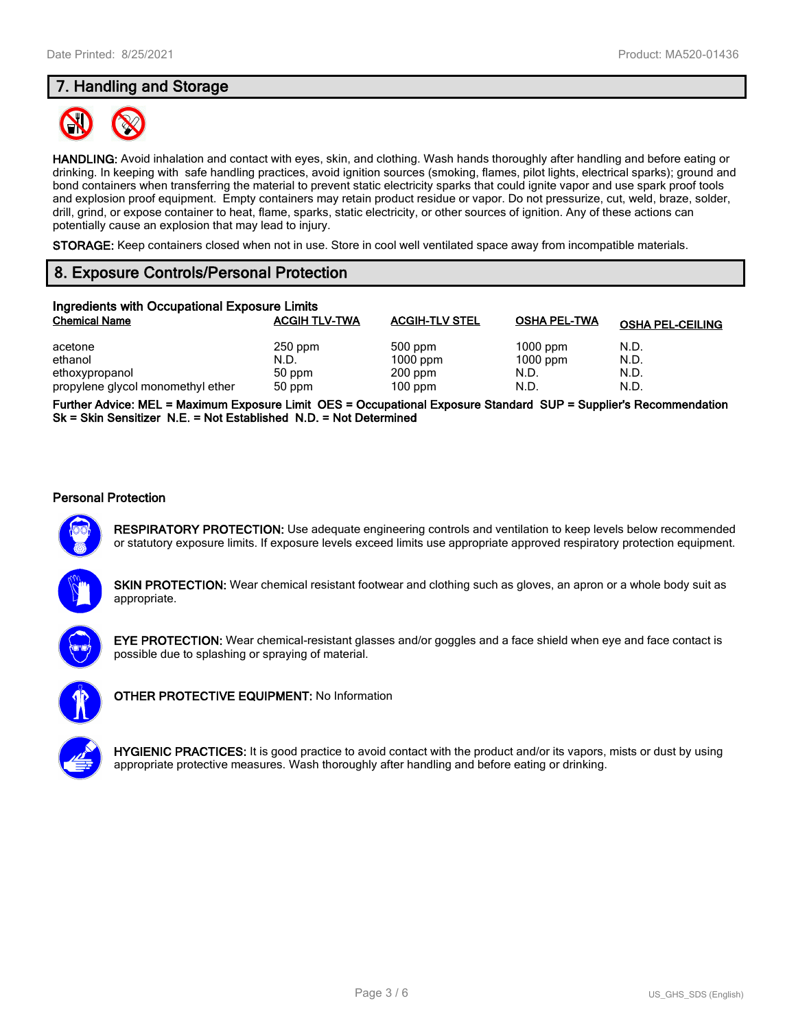# **7. Handling and Storage**



**HANDLING:** Avoid inhalation and contact with eyes, skin, and clothing. Wash hands thoroughly after handling and before eating or drinking. In keeping with safe handling practices, avoid ignition sources (smoking, flames, pilot lights, electrical sparks); ground and bond containers when transferring the material to prevent static electricity sparks that could ignite vapor and use spark proof tools and explosion proof equipment. Empty containers may retain product residue or vapor. Do not pressurize, cut, weld, braze, solder, drill, grind, or expose container to heat, flame, sparks, static electricity, or other sources of ignition. Any of these actions can potentially cause an explosion that may lead to injury.

**STORAGE:** Keep containers closed when not in use. Store in cool well ventilated space away from incompatible materials.

# **8. Exposure Controls/Personal Protection**

| Ingredients with Occupational Exposure Limits |                      |                       |                     |                         |  |  |
|-----------------------------------------------|----------------------|-----------------------|---------------------|-------------------------|--|--|
| <b>Chemical Name</b>                          | <b>ACGIH TLV-TWA</b> | <b>ACGIH-TLV STEL</b> | <b>OSHA PEL-TWA</b> | <b>OSHA PEL-CEILING</b> |  |  |
| acetone                                       | $250$ ppm            | $500$ ppm             | $1000$ ppm          | N.D.                    |  |  |
| ethanol                                       | N.D.                 | $1000$ ppm            | $1000$ ppm          | N.D.                    |  |  |
| ethoxypropanol                                | 50 ppm               | $200$ ppm             | N.D.                | N.D.                    |  |  |
| propylene glycol monomethyl ether             | 50 ppm               | $100$ ppm             | N.D.                | N.D.                    |  |  |

**Further Advice: MEL = Maximum Exposure Limit OES = Occupational Exposure Standard SUP = Supplier's Recommendation Sk = Skin Sensitizer N.E. = Not Established N.D. = Not Determined**

### **Personal Protection**



**RESPIRATORY PROTECTION:** Use adequate engineering controls and ventilation to keep levels below recommended or statutory exposure limits. If exposure levels exceed limits use appropriate approved respiratory protection equipment.

**SKIN PROTECTION:** Wear chemical resistant footwear and clothing such as gloves, an apron or a whole body suit as appropriate.



**EYE PROTECTION:** Wear chemical-resistant glasses and/or goggles and a face shield when eye and face contact is possible due to splashing or spraying of material.



**OTHER PROTECTIVE EQUIPMENT:** No Information



**HYGIENIC PRACTICES:** It is good practice to avoid contact with the product and/or its vapors, mists or dust by using appropriate protective measures. Wash thoroughly after handling and before eating or drinking.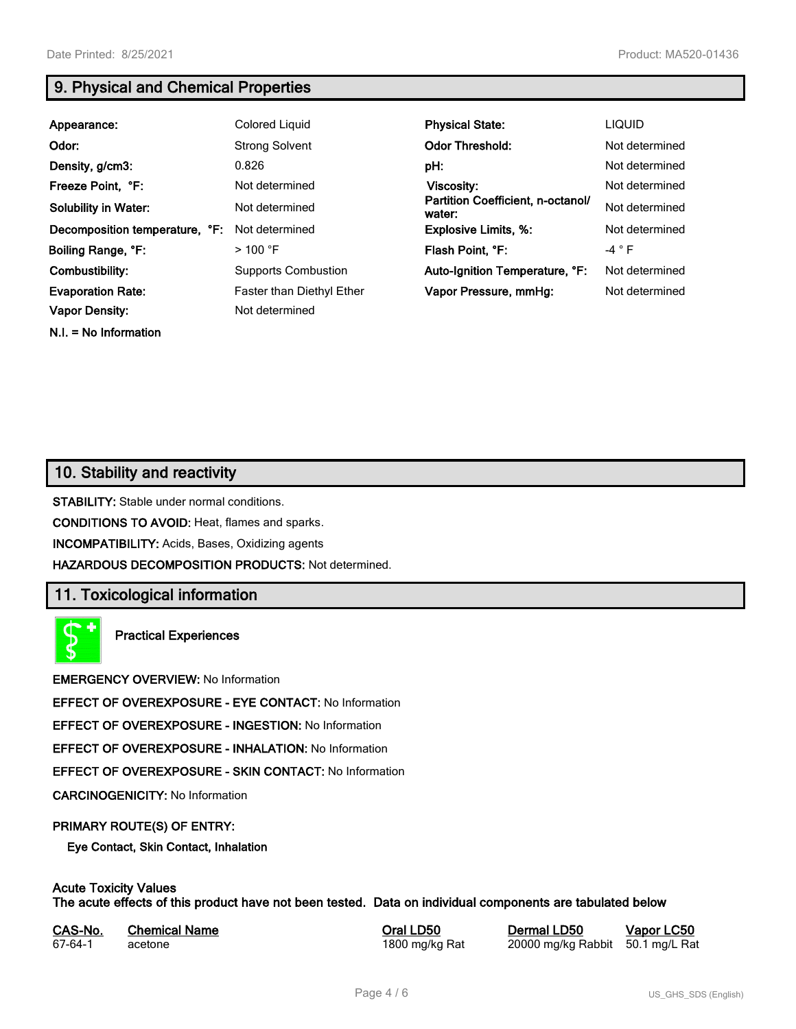**N.I. = No Information**

# **9. Physical and Chemical Properties**

| Appearance:                    | <b>Colored Liquid</b>            | <b>Physical State:</b>                      | <b>LIQUID</b>  |
|--------------------------------|----------------------------------|---------------------------------------------|----------------|
| Odor:                          | <b>Strong Solvent</b>            | <b>Odor Threshold:</b>                      | Not determined |
| Density, g/cm3:                | 0.826                            | pH:                                         | Not determined |
| Freeze Point, °F:              | Not determined                   | Viscosity:                                  | Not determined |
| <b>Solubility in Water:</b>    | Not determined                   | Partition Coefficient, n-octanol/<br>water: | Not determined |
| Decomposition temperature, °F: | Not determined                   | <b>Explosive Limits, %:</b>                 | Not determined |
| Boiling Range, °F:             | $>$ 100 °F                       | Flash Point, °F:                            | -4 $\degree$ F |
| Combustibility:                | <b>Supports Combustion</b>       | Auto-Ignition Temperature, °F:              | Not determined |
| <b>Evaporation Rate:</b>       | <b>Faster than Diethyl Ether</b> | Vapor Pressure, mmHg:                       | Not determined |
| <b>Vapor Density:</b>          | Not determined                   |                                             |                |

## **10. Stability and reactivity**

**STABILITY:** Stable under normal conditions.

**CONDITIONS TO AVOID:** Heat, flames and sparks.

**INCOMPATIBILITY:** Acids, Bases, Oxidizing agents

**HAZARDOUS DECOMPOSITION PRODUCTS:** Not determined.

## **11. Toxicological information**

**Practical Experiences**

**EMERGENCY OVERVIEW:** No Information

**EFFECT OF OVEREXPOSURE - EYE CONTACT:** No Information

**EFFECT OF OVEREXPOSURE - INGESTION:** No Information

**EFFECT OF OVEREXPOSURE - INHALATION:** No Information

**EFFECT OF OVEREXPOSURE - SKIN CONTACT:** No Information

**CARCINOGENICITY:** No Information

### **PRIMARY ROUTE(S) OF ENTRY:**

**Eye Contact, Skin Contact, Inhalation**

# **Acute Toxicity Values**

**The acute effects of this product have not been tested. Data on individual components are tabulated below**

| CAS-No. | <b>Chemical Name</b> |
|---------|----------------------|
| 67-64-1 | acetone              |

**Casary Chemical Chemical LD50 Chemical LD50 Vapor LC50** 1800 mg/kg Rat 20000 mg/kg Rabbit 50.1 mg/L Rat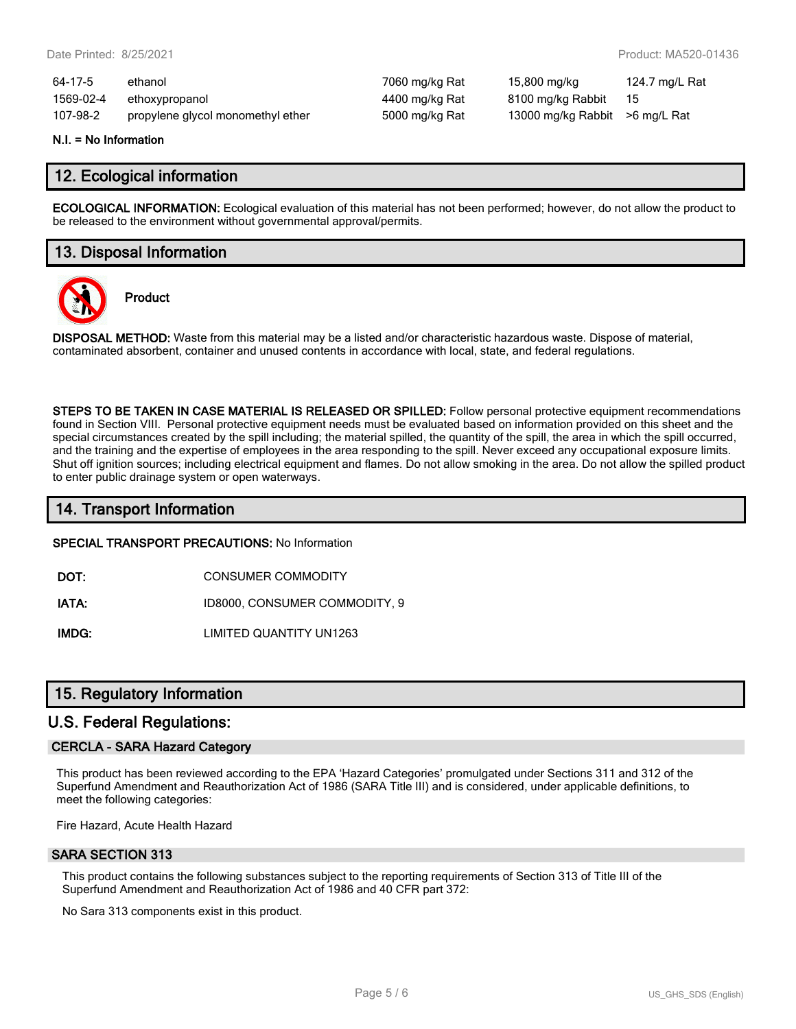| 64-17-5   | ethanol                           | 7060 mg/kg Rat | 15,800 mg/kg                    | 124.7 mg/L Rat |
|-----------|-----------------------------------|----------------|---------------------------------|----------------|
| 1569-02-4 | ethoxypropanol                    | 4400 mg/kg Rat | 8100 mg/kg Rabbit               | - 15           |
| 107-98-2  | propylene glycol monomethyl ether | 5000 mg/kg Rat | 13000 mg/kg Rabbit > 6 mg/L Rat |                |

#### **N.I. = No Information**

## **12. Ecological information**

**ECOLOGICAL INFORMATION:** Ecological evaluation of this material has not been performed; however, do not allow the product to be released to the environment without governmental approval/permits.

## **13. Disposal Information**



**Product**

**DISPOSAL METHOD:** Waste from this material may be a listed and/or characteristic hazardous waste. Dispose of material, contaminated absorbent, container and unused contents in accordance with local, state, and federal regulations.

**STEPS TO BE TAKEN IN CASE MATERIAL IS RELEASED OR SPILLED:** Follow personal protective equipment recommendations found in Section VIII. Personal protective equipment needs must be evaluated based on information provided on this sheet and the special circumstances created by the spill including; the material spilled, the quantity of the spill, the area in which the spill occurred, and the training and the expertise of employees in the area responding to the spill. Never exceed any occupational exposure limits. Shut off ignition sources; including electrical equipment and flames. Do not allow smoking in the area. Do not allow the spilled product to enter public drainage system or open waterways.

## **14. Transport Information**

#### **SPECIAL TRANSPORT PRECAUTIONS:** No Information

**DOT:** CONSUMER COMMODITY

**IATA:** ID8000, CONSUMER COMMODITY, 9

**IMDG:** LIMITED QUANTITY UN1263

## **15. Regulatory Information**

## **U.S. Federal Regulations:**

### **CERCLA - SARA Hazard Category**

This product has been reviewed according to the EPA 'Hazard Categories' promulgated under Sections 311 and 312 of the Superfund Amendment and Reauthorization Act of 1986 (SARA Title III) and is considered, under applicable definitions, to meet the following categories:

Fire Hazard, Acute Health Hazard

#### **SARA SECTION 313**

This product contains the following substances subject to the reporting requirements of Section 313 of Title III of the Superfund Amendment and Reauthorization Act of 1986 and 40 CFR part 372:

No Sara 313 components exist in this product.